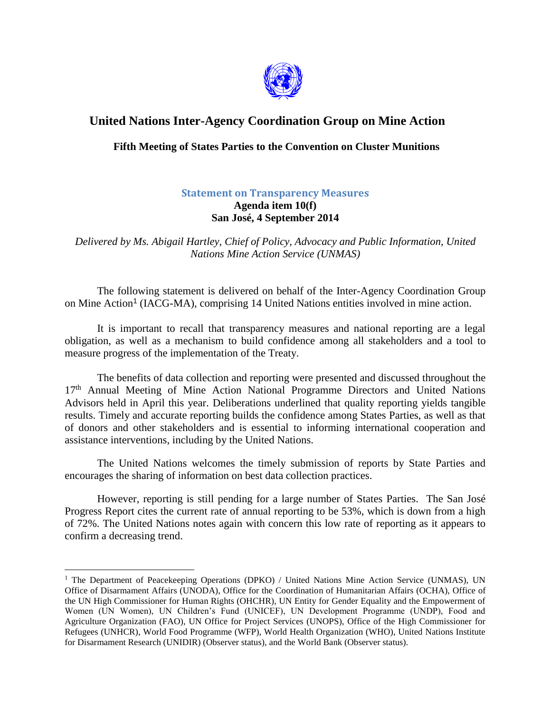

## **United Nations Inter-Agency Coordination Group on Mine Action**

## **Fifth Meeting of States Parties to the Convention on Cluster Munitions**

## **Statement on Transparency Measures Agenda item 10(f) San José, 4 September 2014**

*Delivered by Ms. Abigail Hartley, Chief of Policy, Advocacy and Public Information, United Nations Mine Action Service (UNMAS)*

The following statement is delivered on behalf of the Inter-Agency Coordination Group on Mine Action<sup>1</sup> (IACG-MA), comprising 14 United Nations entities involved in mine action.

It is important to recall that transparency measures and national reporting are a legal obligation, as well as a mechanism to build confidence among all stakeholders and a tool to measure progress of the implementation of the Treaty.

The benefits of data collection and reporting were presented and discussed throughout the 17<sup>th</sup> Annual Meeting of Mine Action National Programme Directors and United Nations Advisors held in April this year. Deliberations underlined that quality reporting yields tangible results. Timely and accurate reporting builds the confidence among States Parties, as well as that of donors and other stakeholders and is essential to informing international cooperation and assistance interventions, including by the United Nations.

The United Nations welcomes the timely submission of reports by State Parties and encourages the sharing of information on best data collection practices.

However, reporting is still pending for a large number of States Parties. The San José Progress Report cites the current rate of annual reporting to be 53%, which is down from a high of 72%. The United Nations notes again with concern this low rate of reporting as it appears to confirm a decreasing trend.

 $\overline{a}$ 

<sup>&</sup>lt;sup>1</sup> The Department of Peacekeeping Operations (DPKO) / United Nations Mine Action Service (UNMAS), UN Office of Disarmament Affairs (UNODA), Office for the Coordination of Humanitarian Affairs (OCHA), Office of the UN High Commissioner for Human Rights (OHCHR), UN Entity for Gender Equality and the Empowerment of Women (UN Women), UN Children's Fund (UNICEF), UN Development Programme (UNDP), Food and Agriculture Organization (FAO), UN Office for Project Services (UNOPS), Office of the High Commissioner for Refugees (UNHCR), World Food Programme (WFP), World Health Organization (WHO), United Nations Institute for Disarmament Research (UNIDIR) (Observer status), and the World Bank (Observer status).